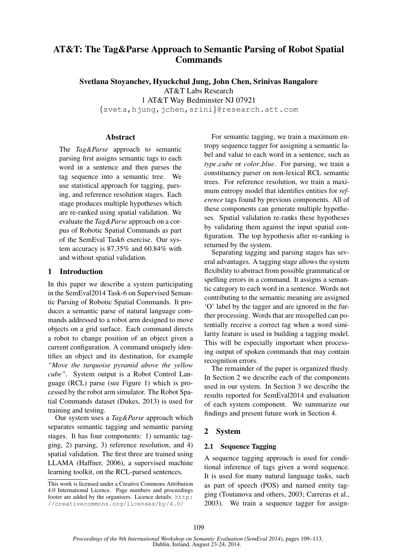# AT&T: The Tag&Parse Approach to Semantic Parsing of Robot Spatial **Commands**

Svetlana Stoyanchev, Hyuckchul Jung, John Chen, Srinivas Bangalore AT&T Labs Research 1 AT&T Way Bedminster NJ 07921 {sveta,hjung,jchen,srini}@research.att.com

### **Abstract**

The *Tag&Parse* approach to semantic parsing first assigns semantic tags to each word in a sentence and then parses the tag sequence into a semantic tree. We use statistical approach for tagging, parsing, and reference resolution stages. Each stage produces multiple hypotheses which are re-ranked using spatial validation. We evaluate the *Tag&Parse* approach on a corpus of Robotic Spatial Commands as part of the SemEval Task6 exercise. Our system accuracy is 87.35% and 60.84% with and without spatial validation.

#### 1 Introduction

In this paper we describe a system participating in the SemEval2014 Task-6 on Supervised Semantic Parsing of Robotic Spatial Commands. It produces a semantic parse of natural language commands addressed to a robot arm designed to move objects on a grid surface. Each command directs a robot to change position of an object given a current configuration. A command uniquely identifies an object and its destination, for example *"Move the turquoise pyramid above the yellow cube"*. System output is a Robot Control Language (RCL) parse (see Figure 1) which is processed by the robot arm simulator. The Robot Spatial Commands dataset (Dukes, 2013) is used for training and testing.

Our system uses a *Tag&Parse* approach which separates semantic tagging and semantic parsing stages. It has four components: 1) semantic tagging, 2) parsing, 3) reference resolution, and 4) spatial validation. The first three are trained using LLAMA (Haffner, 2006), a supervised machine learning toolkit, on the RCL-parsed sentences.

For semantic tagging, we train a maximum entropy sequence tagger for assigning a semantic label and value to each word in a sentence, such as *type cube* or *color blue*. For parsing, we train a constituency parser on non-lexical RCL semantic trees. For reference resolution, we train a maximum entropy model that identifies entities for *reference* tags found by previous components. All of these components can generate multiple hypotheses. Spatial validation re-ranks these hypotheses by validating them against the input spatial configuration. The top hypothesis after re-ranking is returned by the system.

Separating tagging and parsing stages has several advantages. A tagging stage allows the system flexibility to abstract from possible grammatical or spelling errors in a command. It assigns a semantic category to each word in a sentence. Words not contributing to the semantic meaning are assigned 'O' label by the tagger and are ignored in the further processing. Words that are misspelled can potentially receive a correct tag when a word similarity feature is used in building a tagging model. This will be especially important when processing output of spoken commands that may contain recognition errors.

The remainder of the paper is organized thusly. In Section 2 we describe each of the components used in our system. In Section 3 we describe the results reported for SemEval2014 and evaluation of each system component. We summarize our findings and present future work in Section 4.

### 2 System

### 2.1 Sequence Tagging

A sequence tagging approach is used for conditional inference of tags given a word sequence. It is used for many natural language tasks, such as part of speech (POS) and named entity tagging (Toutanova and others, 2003; Carreras et al., 2003). We train a sequence tagger for assign-

This work is licensed under a Creative Commons Attribution 4.0 International Licence. Page numbers and proceedings footer are added by the organisers. Licence details: http: //creativecommons.org/licenses/by/4.0/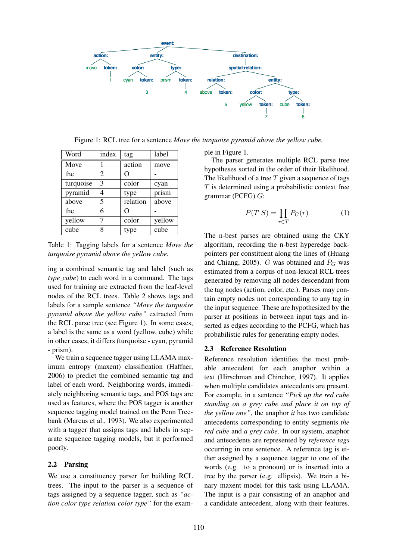

Figure 1: RCL tree for a sentence *Move the turquoise pyramid above the yellow cube.*

| Word      | index | tag      | label  |
|-----------|-------|----------|--------|
| Move      |       | action   | move   |
| the       | 2     | ( )      |        |
| turquoise | 3     | color    | cyan   |
| pyramid   | 4     | type     | prism  |
| above     | 5     | relation | above  |
| the       | 6     | ( )      |        |
| yellow    | 7     | color    | yellow |
| cube      | 8     | type     | cube   |

Table 1: Tagging labels for a sentence *Move the turquoise pyramid above the yellow cube.*

ing a combined semantic tag and label (such as *type\_cube*) to each word in a command. The tags used for training are extracted from the leaf-level nodes of the RCL trees. Table 2 shows tags and labels for a sample sentence *"Move the turquoise pyramid above the yellow cube"* extracted from the RCL parse tree (see Figure 1). In some cases, a label is the same as a word (yellow, cube) while in other cases, it differs (turquoise - cyan, pyramid - prism).

We train a sequence tagger using LLAMA maximum entropy (maxent) classification (Haffner, 2006) to predict the combined semantic tag and label of each word. Neighboring words, immediately neighboring semantic tags, and POS tags are used as features, where the POS tagger is another sequence tagging model trained on the Penn Treebank (Marcus et al., 1993). We also experimented with a tagger that assigns tags and labels in separate sequence tagging models, but it performed poorly.

### 2.2 Parsing

We use a constituency parser for building RCL trees. The input to the parser is a sequence of tags assigned by a sequence tagger, such as *"action color type relation color type"* for the example in Figure 1.

The parser generates multiple RCL parse tree hypotheses sorted in the order of their likelihood. The likelihood of a tree  $T$  given a sequence of tags  $T$  is determined using a probabilistic context free grammar (PCFG) G:

$$
P(T|S) = \prod_{r \in T} P_G(r) \tag{1}
$$

The n-best parses are obtained using the CKY algorithm, recording the n-best hyperedge backpointers per constituent along the lines of (Huang and Chiang, 2005). G was obtained and  $P_G$  was estimated from a corpus of non-lexical RCL trees generated by removing all nodes descendant from the tag nodes (action, color, etc.). Parses may contain empty nodes not corresponding to any tag in the input sequence. These are hypothesized by the parser at positions in between input tags and inserted as edges according to the PCFG, which has probabilistic rules for generating empty nodes.

### 2.3 Reference Resolution

Reference resolution identifies the most probable antecedent for each anaphor within a text (Hirschman and Chinchor, 1997). It applies when multiple candidates antecedents are present. For example, in a sentence *"Pick up the red cube standing on a grey cube and place it on top of the yellow one"*, the anaphor *it* has two candidate antecedents corresponding to entity segments *the red cube* and *a grey cube*. In our system, anaphor and antecedents are represented by *reference tags* occurring in one sentence. A reference tag is either assigned by a sequence tagger to one of the words (e.g. to a pronoun) or is inserted into a tree by the parser (e.g. ellipsis). We train a binary maxent model for this task using LLAMA. The input is a pair consisting of an anaphor and a candidate antecedent, along with their features.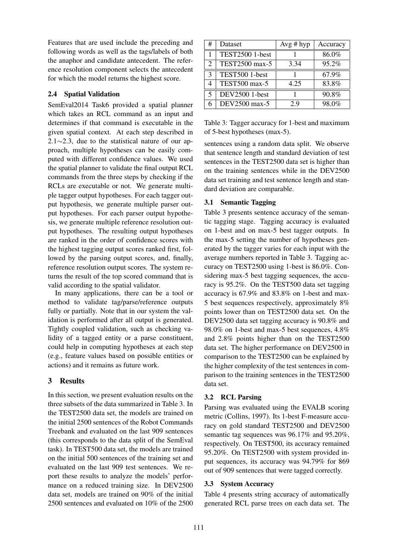Features that are used include the preceding and following words as well as the tags/labels of both the anaphor and candidate antecedent. The reference resolution component selects the antecedent for which the model returns the highest score.

### 2.4 Spatial Validation

SemEval2014 Task6 provided a spatial planner which takes an RCL command as an input and determines if that command is executable in the given spatial context. At each step described in 2.1∼2.3, due to the statistical nature of our approach, multiple hypotheses can be easily computed with different confidence values. We used the spatial planner to validate the final output RCL commands from the three steps by checking if the RCLs are executable or not. We generate multiple tagger output hypotheses. For each tagger output hypothesis, we generate multiple parser output hypotheses. For each parser output hypothesis, we generate multiple reference resolution output hypotheses. The resulting output hypotheses are ranked in the order of confidence scores with the highest tagging output scores ranked first, followed by the parsing output scores, and, finally, reference resolution output scores. The system returns the result of the top scored command that is valid according to the spatial validator.

In many applications, there can be a tool or method to validate tag/parse/reference outputs fully or partially. Note that in our system the validation is performed after all output is generated. Tightly coupled validation, such as checking validity of a tagged entity or a parse constituent, could help in computing hypotheses at each step (e.g., feature values based on possible entities or actions) and it remains as future work.

## 3 Results

In this section, we present evaluation results on the three subsets of the data summarized in Table 3. In the TEST2500 data set, the models are trained on the initial 2500 sentences of the Robot Commands Treebank and evaluated on the last 909 sentences (this corresponds to the data split of the SemEval task). In TEST500 data set, the models are trained on the initial 500 sentences of the training set and evaluated on the last 909 test sentences. We report these results to analyze the models' performance on a reduced training size. In DEV2500 data set, models are trained on 90% of the initial 2500 sentences and evaluated on 10% of the 2500

| # | Dataset                | $Avg \# hyp$ | Accuracy |
|---|------------------------|--------------|----------|
|   | <b>TEST2500 1-best</b> |              | 86.0%    |
| 2 | TEST2500 max-5         | 3.34         | 95.2%    |
| 3 | TEST500 1-best         |              | 67.9%    |
|   | TEST500 max-5          | 4.25         | 83.8%    |
| 5 | DEV2500 1-best         |              | 90.8%    |
| 6 | DEV2500 max-5          | 2.9          | 98.0%    |

Table 3: Tagger accuracy for 1-best and maximum of 5-best hypotheses (max-5).

sentences using a random data split. We observe that sentence length and standard deviation of test sentences in the TEST2500 data set is higher than on the training sentences while in the DEV2500 data set training and test sentence length and standard deviation are comparable.

### 3.1 Semantic Tagging

Table 3 presents sentence accuracy of the semantic tagging stage. Tagging accuracy is evaluated on 1-best and on max-5 best tagger outputs. In the max-5 setting the number of hypotheses generated by the tagger varies for each input with the average numbers reported in Table 3. Tagging accuracy on TEST2500 using 1-best is 86.0%. Considering max-5 best tagging sequences, the accuracy is 95.2%. On the TEST500 data set tagging accuracy is 67.9% and 83.8% on 1-best and max-5 best sequences respectively, approximately 8% points lower than on TEST2500 data set. On the DEV2500 data set tagging accuracy is 90.8% and 98.0% on 1-best and max-5 best sequences, 4.8% and 2.8% points higher than on the TEST2500 data set. The higher performance on DEV2500 in comparison to the TEST2500 can be explained by the higher complexity of the test sentences in comparison to the training sentences in the TEST2500 data set.

### 3.2 RCL Parsing

Parsing was evaluated using the EVALB scoring metric (Collins, 1997). Its 1-best F-measure accuracy on gold standard TEST2500 and DEV2500 semantic tag sequences was 96.17% and 95.20%, respectively. On TEST500, its accuracy remained 95.20%. On TEST2500 with system provided input sequences, its accuracy was 94.79% for 869 out of 909 sentences that were tagged correctly.

### 3.3 System Accuracy

Table 4 presents string accuracy of automatically generated RCL parse trees on each data set. The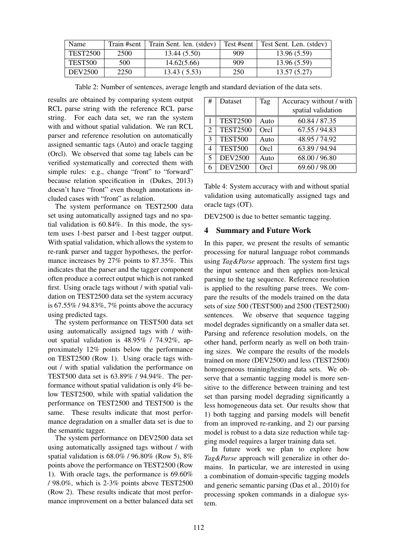| Name            | Train #sent | Train Sent. len. (stdev) | Test #sent | Fest Sent. Len. (stdev) |
|-----------------|-------------|--------------------------|------------|-------------------------|
| <b>TEST2500</b> | 2500        | 13.44 (5.50)             | 909        | 13.96 (5.59)            |
| TEST500         | 500         | 14.62(5.66)              | 909        | 13.96 (5.59)            |
| <b>DEV2500</b>  | 2250        | 13.43(5.53)              | 250        | 13.57(5.27)             |

Table 2: Number of sentences, average length and standard deviation of the data sets.

results are obtained by comparing system output RCL parse string with the reference RCL parse string. For each data set, we ran the system with and without spatial validation. We ran RCL parser and reference resolution on automatically assigned semantic tags (Auto) and oracle tagging (Orcl). We observed that some tag labels can be verified systematically and corrected them with simple rules: e.g., change "front" to "forward" because relation specification in (Dukes, 2013) doesn't have "front" even though annotations included cases with "front" as relation.

The system performance on TEST2500 data set using automatically assigned tags and no spatial validation is 60.84%. In this mode, the system uses 1-best parser and 1-best tagger output. With spatial validation, which allows the system to re-rank parser and tagger hypotheses, the performance increases by 27% points to 87.35%. This indicates that the parser and the tagger component often produce a correct output which is not ranked first. Using oracle tags without / with spatial validation on TEST2500 data set the system accuracy is 67.55% / 94.83%, 7% points above the accuracy using predicted tags.

The system performance on TEST500 data set using automatically assigned tags with / without spatial validation is 48.95% / 74.92%, approximately 12% points below the performance on TEST2500 (Row 1). Using oracle tags without / with spatial validation the performance on TEST500 data set is 63.89% / 94.94%. The performance without spatial validation is only 4% below TEST2500, while with spatial validation the performance on TEST2500 and TEST500 is the same. These results indicate that most performance degradation on a smaller data set is due to the semantic tagger.

The system performance on DEV2500 data set using automatically assigned tags without / with spatial validation is 68.0% / 96.80% (Row 5), 8% points above the performance on TEST2500 (Row 1). With oracle tags, the performance is 69.60% / 98.0%, which is 2-3% points above TEST2500 (Row 2). These results indicate that most performance improvement on a better balanced data set

| #                       | Dataset         | Tag  | Accuracy without / with |
|-------------------------|-----------------|------|-------------------------|
|                         |                 |      | spatial validation      |
| 1                       | <b>TEST2500</b> | Auto | 60.84 / 87.35           |
| $\overline{2}$          | <b>TEST2500</b> | Orcl | 67.55 / 94.83           |
| 3                       | <b>TEST500</b>  | Auto | 48.95 / 74.92           |
| 4                       | <b>TEST500</b>  | Orcl | 63.89 / 94.94           |
| $\overline{\mathbf{S}}$ | <b>DEV2500</b>  | Auto | 68.00 / 96.80           |
|                         | <b>DEV2500</b>  | Orcl | 69.60 / 98.00           |

Table 4: System accuracy with and without spatial validation using automatically assigned tags and oracle tags (OT).

DEV2500 is due to better semantic tagging.

### 4 Summary and Future Work

In this paper, we present the results of semantic processing for natural language robot commands using *Tag&Parse* approach. The system first tags the input sentence and then applies non-lexical parsing to the tag sequence. Reference resolution is applied to the resulting parse trees. We compare the results of the models trained on the data sets of size 500 (TEST500) and 2500 (TEST2500) sentences. We observe that sequence tagging model degrades significantly on a smaller data set. Parsing and reference resolution models, on the other hand, perform nearly as well on both training sizes. We compare the results of the models trained on more (DEV2500) and less (TEST2500) homogeneous training/testing data sets. We observe that a semantic tagging model is more sensitive to the difference between training and test set than parsing model degrading significantly a less homogeneous data set. Our results show that 1) both tagging and parsing models will benefit from an improved re-ranking, and 2) our parsing model is robust to a data size reduction while tagging model requires a larger training data set.

In future work we plan to explore how *Tag&Parse* approach will generalize in other domains. In particular, we are interested in using a combination of domain-specific tagging models and generic semantic parsing (Das et al., 2010) for processing spoken commands in a dialogue system.